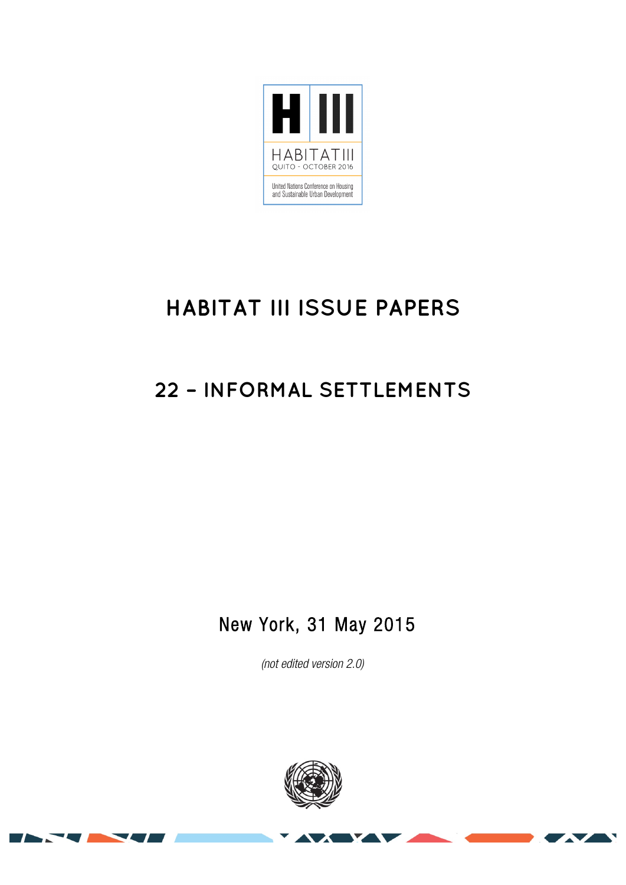

# **HABITAT III ISSUE PAPERS**

## **22 – INFORMAL SETTLEMENTS**

### New York, 31 May 2015

(not edited version 2.0)



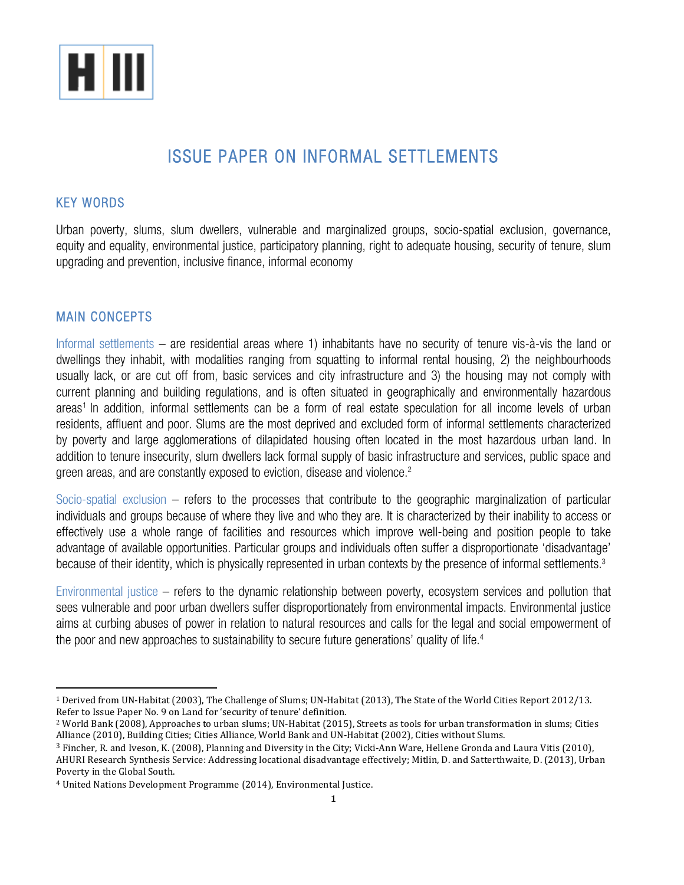

### ISSUE PAPER ON INFORMAL SETTLEMENTS

#### KEY WORDS

Urban poverty, slums, slum dwellers, vulnerable and marginalized groups, socio-spatial exclusion, governance, equity and equality, environmental justice, participatory planning, right to adequate housing, security of tenure, slum upgrading and prevention, inclusive finance, informal economy

#### MAIN CONCEPTS

Informal settlements – are residential areas where 1) inhabitants have no security of tenure vis-à-vis the land or dwellings they inhabit, with modalities ranging from squatting to informal rental housing, 2) the neighbourhoods usually lack, or are cut off from, basic services and city infrastructure and 3) the housing may not comply with current planning and building regulations, and is often situated in geographically and environmentally hazardous areas<sup>1</sup> In addition, informal settlements can be a form of real estate speculation for all income levels of urban residents, affluent and poor. Slums are the most deprived and excluded form of informal settlements characterized by poverty and large agglomerations of dilapidated housing often located in the most hazardous urban land. In addition to tenure insecurity, slum dwellers lack formal supply of basic infrastructure and services, public space and green areas, and are constantly exposed to eviction, disease and violence. $^{\text{2}}$ 

Socio-spatial exclusion – refers to the processes that contribute to the geographic marginalization of particular individuals and groups because of where they live and who they are. It is characterized by their inability to access or effectively use a whole range of facilities and resources which improve well-being and position people to take advantage of available opportunities. Particular groups and individuals often suffer a disproportionate 'disadvantage' because of their identity, which is physically represented in urban contexts by the presence of informal settlements.3

Environmental justice – refers to the dynamic relationship between poverty, ecosystem services and pollution that sees vulnerable and poor urban dwellers suffer disproportionately from environmental impacts. Environmental justice aims at curbing abuses of power in relation to natural resources and calls for the legal and social empowerment of the poor and new approaches to sustainability to secure future generations' quality of life. 4

 

<sup>&</sup>lt;sup>1</sup> Derived from UN-Habitat (2003), The Challenge of Slums; UN-Habitat (2013), The State of the World Cities Report 2012/13. Refer to Issue Paper No. 9 on Land for 'security of tenure' definition.

<sup>&</sup>lt;sup>2</sup> World Bank (2008), Approaches to urban slums; UN-Habitat (2015), Streets as tools for urban transformation in slums: Cities Alliance (2010), Building Cities; Cities Alliance, World Bank and UN-Habitat (2002), Cities without Slums.

<sup>&</sup>lt;sup>3</sup> Fincher, R. and Iveson, K. (2008), Planning and Diversity in the City; Vicki-Ann Ware, Hellene Gronda and Laura Vitis (2010), AHURI Research Synthesis Service: Addressing locational disadvantage effectively; Mitlin, D. and Satterthwaite, D. (2013), Urban Poverty in the Global South.

<sup>&</sup>lt;sup>4</sup> United Nations Development Programme (2014), Environmental Justice.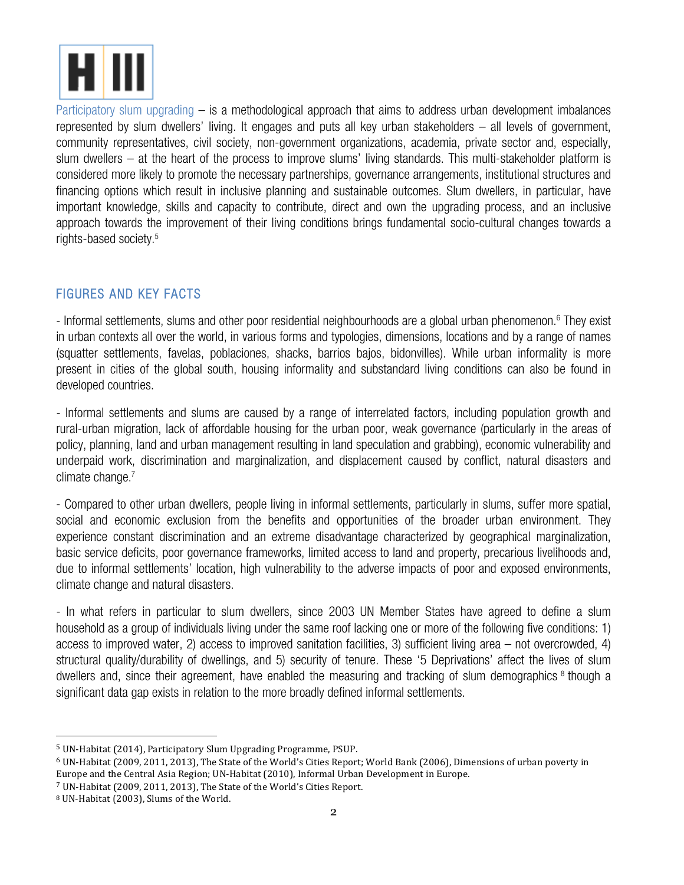

Participatory slum upgrading – is a methodological approach that aims to address urban development imbalances represented by slum dwellers' living. It engages and puts all key urban stakeholders – all levels of government, community representatives, civil society, non-government organizations, academia, private sector and, especially, slum dwellers – at the heart of the process to improve slums' living standards. This multi-stakeholder platform is considered more likely to promote the necessary partnerships, governance arrangements, institutional structures and financing options which result in inclusive planning and sustainable outcomes. Slum dwellers, in particular, have important knowledge, skills and capacity to contribute, direct and own the upgrading process, and an inclusive approach towards the improvement of their living conditions brings fundamental socio-cultural changes towards a rights-based society.5

#### FIGURES AND KEY FACTS

- Informal settlements, slums and other poor residential neighbourhoods are a global urban phenomenon. <sup>6</sup> They exist in urban contexts all over the world, in various forms and typologies, dimensions, locations and by a range of names (squatter settlements, favelas, poblaciones, shacks, barrios bajos, bidonvilles). While urban informality is more present in cities of the global south, housing informality and substandard living conditions can also be found in developed countries.

- Informal settlements and slums are caused by a range of interrelated factors, including population growth and rural-urban migration, lack of affordable housing for the urban poor, weak governance (particularly in the areas of policy, planning, land and urban management resulting in land speculation and grabbing), economic vulnerability and underpaid work, discrimination and marginalization, and displacement caused by conflict, natural disasters and climate change.<sup>7</sup>

- Compared to other urban dwellers, people living in informal settlements, particularly in slums, suffer more spatial, social and economic exclusion from the benefits and opportunities of the broader urban environment. They experience constant discrimination and an extreme disadvantage characterized by geographical marginalization, basic service deficits, poor governance frameworks, limited access to land and property, precarious livelihoods and, due to informal settlements' location, high vulnerability to the adverse impacts of poor and exposed environments, climate change and natural disasters.

- In what refers in particular to slum dwellers, since 2003 UN Member States have agreed to define a slum household as a group of individuals living under the same roof lacking one or more of the following five conditions: 1) access to improved water, 2) access to improved sanitation facilities, 3) sufficient living area – not overcrowded, 4) structural quality/durability of dwellings, and 5) security of tenure. These '5 Deprivations' affect the lives of slum dwellers and, since their agreement, have enabled the measuring and tracking of slum demographics <sup>8</sup> though a significant data gap exists in relation to the more broadly defined informal settlements.

<sup>&</sup>lt;sup>5</sup> UN-Habitat (2014), Participatory Slum Upgrading Programme, PSUP.

 $6$  UN-Habitat (2009, 2011, 2013), The State of the World's Cities Report; World Bank (2006), Dimensions of urban poverty in Europe and the Central Asia Region; UN-Habitat (2010), Informal Urban Development in Europe.

 $7$  UN-Habitat (2009, 2011, 2013), The State of the World's Cities Report.

<sup>&</sup>lt;sup>8</sup> UN-Habitat (2003), Slums of the World.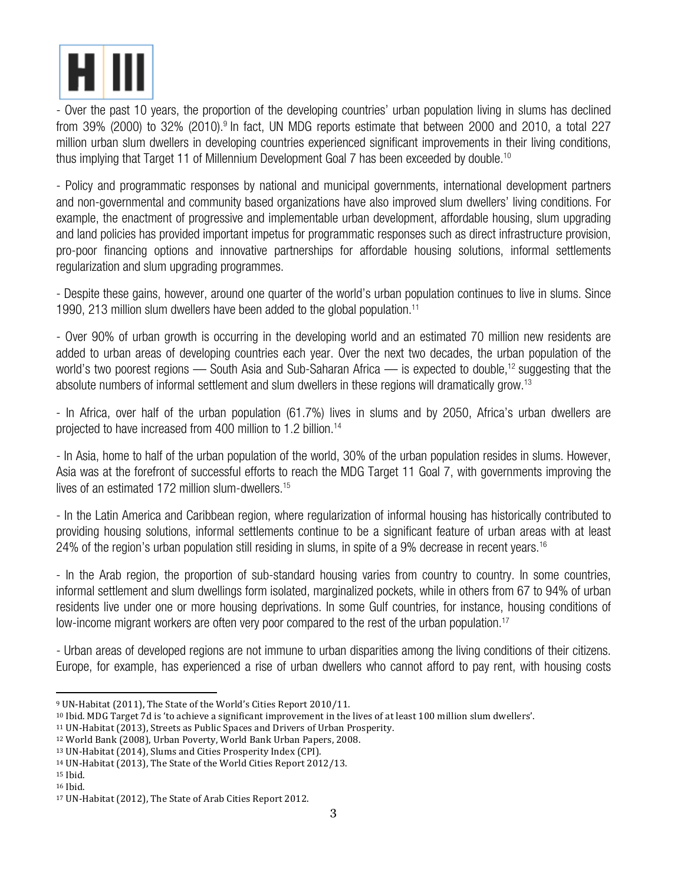

- Over the past 10 years, the proportion of the developing countries' urban population living in slums has declined from 39% (2000) to 32% (2010).<sup>9</sup> In fact, UN MDG reports estimate that between 2000 and 2010, a total 227 million urban slum dwellers in developing countries experienced significant improvements in their living conditions, thus implying that Target 11 of Millennium Development Goal 7 has been exceeded by double. 10

- Policy and programmatic responses by national and municipal governments, international development partners and non-governmental and community based organizations have also improved slum dwellers' living conditions. For example, the enactment of progressive and implementable urban development, affordable housing, slum upgrading and land policies has provided important impetus for programmatic responses such as direct infrastructure provision, pro-poor financing options and innovative partnerships for affordable housing solutions, informal settlements regularization and slum upgrading programmes.

- Despite these gains, however, around one quarter of the world's urban population continues to live in slums. Since 1990, 213 million slum dwellers have been added to the global population.<sup>11</sup>

- Over 90% of urban growth is occurring in the developing world and an estimated 70 million new residents are added to urban areas of developing countries each year. Over the next two decades, the urban population of the world's two poorest regions — South Asia and Sub-Saharan Africa — is expected to double, <sup>12</sup> suggesting that the absolute numbers of informal settlement and slum dwellers in these regions will dramatically grow.13

- In Africa, over half of the urban population (61.7%) lives in slums and by 2050, Africa's urban dwellers are projected to have increased from 400 million to 1.2 billion.14

- In Asia, home to half of the urban population of the world, 30% of the urban population resides in slums. However, Asia was at the forefront of successful efforts to reach the MDG Target 11 Goal 7, with governments improving the lives of an estimated 172 million slum-dwellers. 15

- In the Latin America and Caribbean region, where regularization of informal housing has historically contributed to providing housing solutions, informal settlements continue to be a significant feature of urban areas with at least 24% of the region's urban population still residing in slums, in spite of a 9% decrease in recent years.<sup>16</sup>

- In the Arab region, the proportion of sub-standard housing varies from country to country. In some countries, informal settlement and slum dwellings form isolated, marginalized pockets, while in others from 67 to 94% of urban residents live under one or more housing deprivations. In some Gulf countries, for instance, housing conditions of low-income migrant workers are often very poor compared to the rest of the urban population. 17

- Urban areas of developed regions are not immune to urban disparities among the living conditions of their citizens. Europe, for example, has experienced a rise of urban dwellers who cannot afford to pay rent, with housing costs

<sup>&</sup>lt;sup>9</sup> UN-Habitat (2011), The State of the World's Cities Report 2010/11.

<sup>&</sup>lt;sup>10</sup> Ibid. MDG Target 7d is 'to achieve a significant improvement in the lives of at least 100 million slum dwellers'.

 $11$  UN-Habitat (2013), Streets as Public Spaces and Drivers of Urban Prosperity.

<sup>&</sup>lt;sup>12</sup> World Bank (2008), Urban Poverty, World Bank Urban Papers, 2008.

<sup>13</sup> UN-Habitat (2014), Slums and Cities Prosperity Index (CPI).

<sup>&</sup>lt;sup>14</sup> UN-Habitat (2013), The State of the World Cities Report 2012/13.

<sup>15</sup> Ibid. <sup>16</sup> Ibid.

<sup>&</sup>lt;sup>17</sup> UN-Habitat (2012), The State of Arab Cities Report 2012.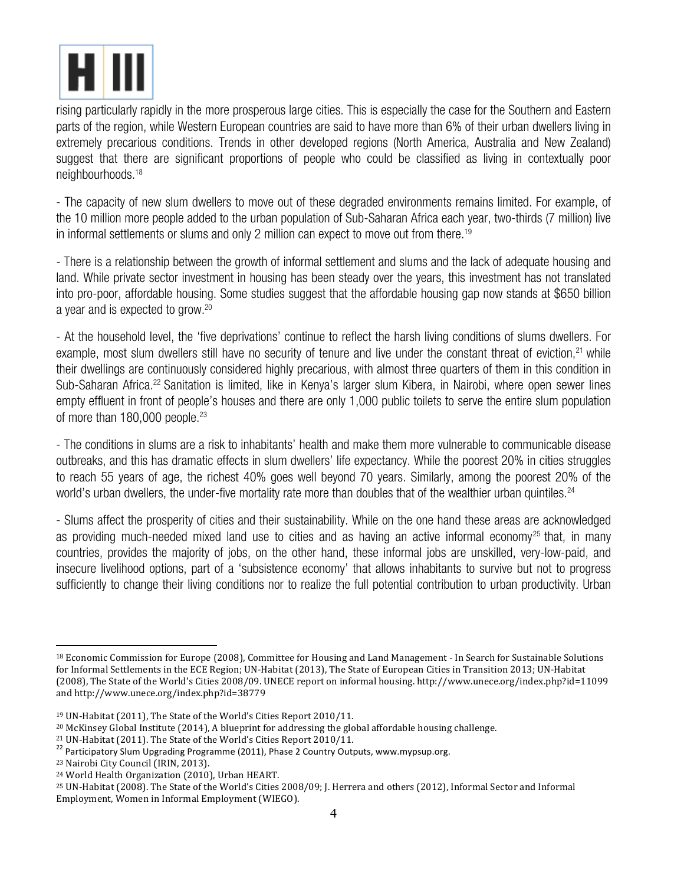

rising particularly rapidly in the more prosperous large cities. This is especially the case for the Southern and Eastern parts of the region, while Western European countries are said to have more than 6% of their urban dwellers living in extremely precarious conditions. Trends in other developed regions (North America, Australia and New Zealand) suggest that there are significant proportions of people who could be classified as living in contextually poor neighbourhoods. 18

- The capacity of new slum dwellers to move out of these degraded environments remains limited. For example, of the 10 million more people added to the urban population of Sub-Saharan Africa each year, two-thirds (7 million) live in informal settlements or slums and only 2 million can expect to move out from there.<sup>19</sup>

- There is a relationship between the growth of informal settlement and slums and the lack of adequate housing and land. While private sector investment in housing has been steady over the years, this investment has not translated into pro-poor, affordable housing. Some studies suggest that the affordable housing gap now stands at \$650 billion a year and is expected to grow. 20

- At the household level, the 'five deprivations' continue to reflect the harsh living conditions of slums dwellers. For example, most slum dwellers still have no security of tenure and live under the constant threat of eviction,<sup>21</sup> while their dwellings are continuously considered highly precarious, with almost three quarters of them in this condition in Sub-Saharan Africa.<sup>22</sup> Sanitation is limited, like in Kenya's larger slum Kibera, in Nairobi, where open sewer lines empty effluent in front of people's houses and there are only 1,000 public toilets to serve the entire slum population of more than 180,000 people. 23

- The conditions in slums are a risk to inhabitants' health and make them more vulnerable to communicable disease outbreaks, and this has dramatic effects in slum dwellers' life expectancy. While the poorest 20% in cities struggles to reach 55 years of age, the richest 40% goes well beyond 70 years. Similarly, among the poorest 20% of the world's urban dwellers, the under-five mortality rate more than doubles that of the wealthier urban quintiles.<sup>24</sup>

- Slums affect the prosperity of cities and their sustainability. While on the one hand these areas are acknowledged as providing much-needed mixed land use to cities and as having an active informal economy<sup>25</sup> that, in many countries, provides the majority of jobs, on the other hand, these informal jobs are unskilled, very-low-paid, and insecure livelihood options, part of a 'subsistence economy' that allows inhabitants to survive but not to progress sufficiently to change their living conditions nor to realize the full potential contribution to urban productivity. Urban

 

<sup>&</sup>lt;sup>18</sup> Economic Commission for Europe (2008), Committee for Housing and Land Management - In Search for Sustainable Solutions for Informal Settlements in the ECE Region; UN-Habitat (2013), The State of European Cities in Transition 2013; UN-Habitat (2008), The State of the World's Cities 2008/09. UNECE report on informal housing. http://www.unece.org/index.php?id=11099 and http://www.unece.org/index.php?id=38779

<sup>&</sup>lt;sup>19</sup> UN-Habitat (2011), The State of the World's Cities Report 2010/11.

 $20$  McKinsey Global Institute (2014), A blueprint for addressing the global affordable housing challenge.

<sup>&</sup>lt;sup>21</sup> UN-Habitat (2011). The State of the World's Cities Report 2010/11.<br><sup>22</sup> Participatory Slum Upgrading Programme (2011), Phase 2 Country Outputs, www.mypsup.org.

<sup>&</sup>lt;sup>23</sup> Nairobi City Council (IRIN, 2013).

<sup>&</sup>lt;sup>24</sup> World Health Organization (2010), Urban HEART.

<sup>&</sup>lt;sup>25</sup> UN-Habitat (2008). The State of the World's Cities 2008/09; J. Herrera and others (2012), Informal Sector and Informal Employment, Women in Informal Employment (WIEGO).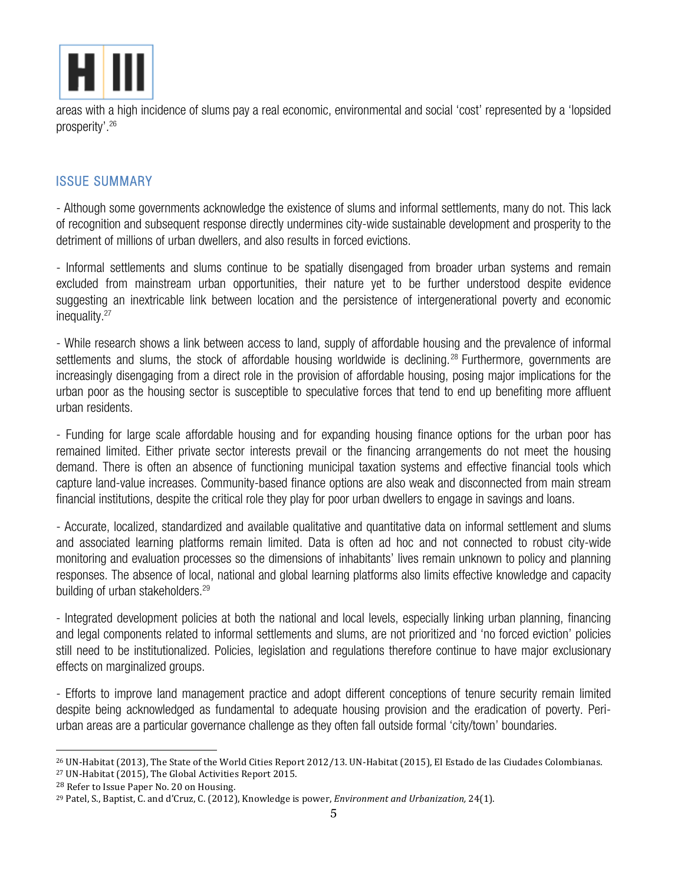

areas with a high incidence of slums pay a real economic, environmental and social 'cost' represented by a 'lopsided prosperity'. 26

#### ISSUE SUMMARY

- Although some governments acknowledge the existence of slums and informal settlements, many do not. This lack of recognition and subsequent response directly undermines city-wide sustainable development and prosperity to the detriment of millions of urban dwellers, and also results in forced evictions.

- Informal settlements and slums continue to be spatially disengaged from broader urban systems and remain excluded from mainstream urban opportunities, their nature yet to be further understood despite evidence suggesting an inextricable link between location and the persistence of intergenerational poverty and economic inequality. 27

- While research shows a link between access to land, supply of affordable housing and the prevalence of informal settlements and slums, the stock of affordable housing worldwide is declining. <sup>28</sup> Furthermore, governments are increasingly disengaging from a direct role in the provision of affordable housing, posing major implications for the urban poor as the housing sector is susceptible to speculative forces that tend to end up benefiting more affluent urban residents.

- Funding for large scale affordable housing and for expanding housing finance options for the urban poor has remained limited. Either private sector interests prevail or the financing arrangements do not meet the housing demand. There is often an absence of functioning municipal taxation systems and effective financial tools which capture land-value increases. Community-based finance options are also weak and disconnected from main stream financial institutions, despite the critical role they play for poor urban dwellers to engage in savings and loans.

- Accurate, localized, standardized and available qualitative and quantitative data on informal settlement and slums and associated learning platforms remain limited. Data is often ad hoc and not connected to robust city-wide monitoring and evaluation processes so the dimensions of inhabitants' lives remain unknown to policy and planning responses. The absence of local, national and global learning platforms also limits effective knowledge and capacity building of urban stakeholders. 29

- Integrated development policies at both the national and local levels, especially linking urban planning, financing and legal components related to informal settlements and slums, are not prioritized and 'no forced eviction' policies still need to be institutionalized. Policies, legislation and regulations therefore continue to have major exclusionary effects on marginalized groups.

- Efforts to improve land management practice and adopt different conceptions of tenure security remain limited despite being acknowledged as fundamental to adequate housing provision and the eradication of poverty. Periurban areas are a particular governance challenge as they often fall outside formal 'city/town' boundaries.

<sup>&</sup>lt;sup>26</sup> UN-Habitat (2013), The State of the World Cities Report 2012/13. UN-Habitat (2015), El Estado de las Ciudades Colombianas. <sup>27</sup> UN-Habitat (2015), The Global Activities Report 2015.

<sup>&</sup>lt;sup>28</sup> Refer to Issue Paper No. 20 on Housing.

<sup>&</sup>lt;sup>29</sup> Patel, S., Baptist, C. and d'Cruz, C. (2012), Knowledge is power, *Environment and Urbanization*, 24(1).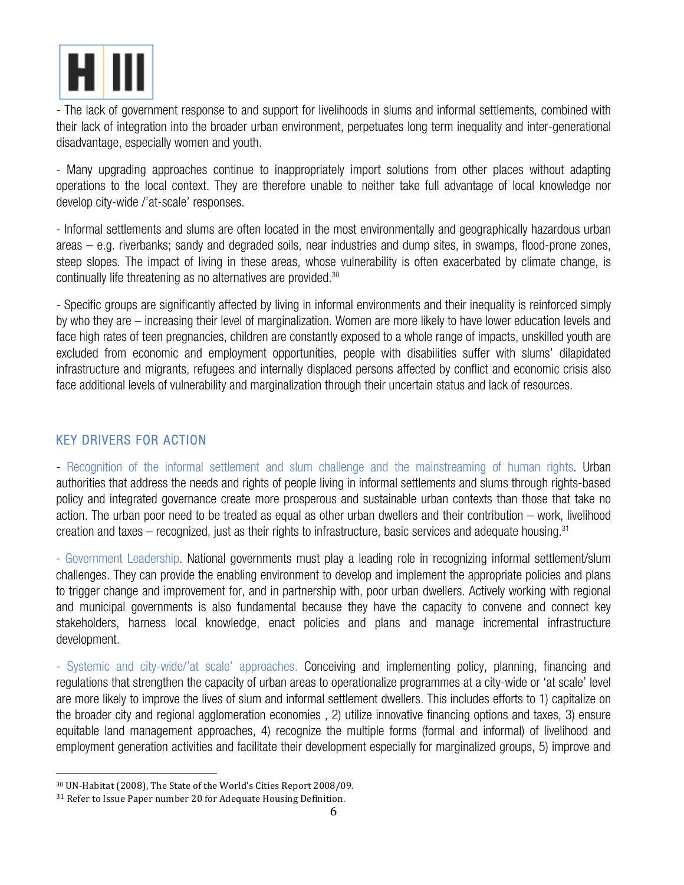

- The lack of government response to and support for livelihoods in slums and informal settlements, combined with their lack of integration into the broader urban environment, perpetuates long term inequality and inter-generational disadvantage, especially women and youth.

- Many upgrading approaches continue to inappropriately import solutions from other places without adapting operations to the local context. They are therefore unable to neither take full advantage of local knowledge nor develop city-wide /'at-scale' responses.

- Informal settlements and slums are often located in the most environmentally and geographically hazardous urban areas – e.g. riverbanks; sandy and degraded soils, near industries and dump sites, in swamps, flood-prone zones, steep slopes. The impact of living in these areas, whose vulnerability is often exacerbated by climate change, is continually life threatening as no alternatives are provided. $^{\rm 30}$ 

- Specific groups are significantly affected by living in informal environments and their inequality is reinforced simply by who they are – increasing their level of marginalization. Women are more likely to have lower education levels and face high rates of teen pregnancies, children are constantly exposed to a whole range of impacts, unskilled youth are excluded from economic and employment opportunities, people with disabilities suffer with slums' dilapidated infrastructure and migrants, refugees and internally displaced persons affected by conflict and economic crisis also face additional levels of vulnerability and marginalization through their uncertain status and lack of resources.

#### KEY DRIVERS FOR ACTION

- Recognition of the informal settlement and slum challenge and the mainstreaming of human rights. Urban authorities that address the needs and rights of people living in informal settlements and slums through rights-based policy and integrated governance create more prosperous and sustainable urban contexts than those that take no action. The urban poor need to be treated as equal as other urban dwellers and their contribution – work, livelihood creation and taxes – recognized, just as their rights to infrastructure, basic services and adequate housing. 31

- Government Leadership. National governments must play a leading role in recognizing informal settlement/slum challenges. They can provide the enabling environment to develop and implement the appropriate policies and plans to trigger change and improvement for, and in partnership with, poor urban dwellers. Actively working with regional and municipal governments is also fundamental because they have the capacity to convene and connect key stakeholders, harness local knowledge, enact policies and plans and manage incremental infrastructure development.

- Systemic and city-wide/'at scale' approaches. Conceiving and implementing policy, planning, financing and regulations that strengthen the capacity of urban areas to operationalize programmes at a city-wide or 'at scale' level are more likely to improve the lives of slum and informal settlement dwellers. This includes efforts to 1) capitalize on the broader city and regional agglomeration economies , 2) utilize innovative financing options and taxes, 3) ensure equitable land management approaches, 4) recognize the multiple forms (formal and informal) of livelihood and employment generation activities and facilitate their development especially for marginalized groups, 5) improve and

<sup>&</sup>lt;sup>30</sup> UN-Habitat (2008), The State of the World's Cities Report 2008/09.

<sup>&</sup>lt;sup>31</sup> Refer to Issue Paper number 20 for Adequate Housing Definition.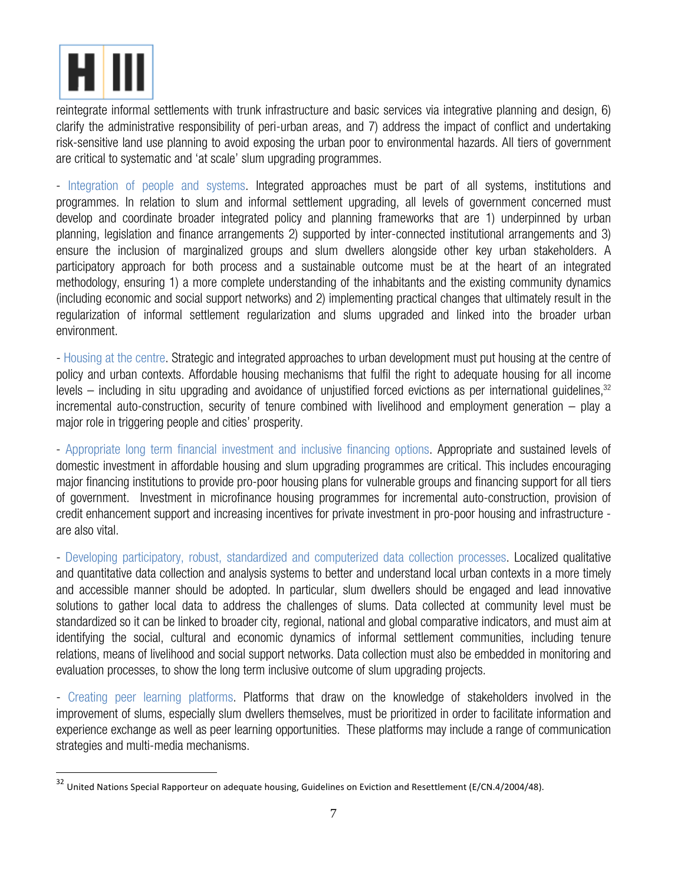

reintegrate informal settlements with trunk infrastructure and basic services via integrative planning and design, 6) clarify the administrative responsibility of peri-urban areas, and 7) address the impact of conflict and undertaking risk-sensitive land use planning to avoid exposing the urban poor to environmental hazards. All tiers of government are critical to systematic and 'at scale' slum upgrading programmes.

- Integration of people and systems. Integrated approaches must be part of all systems, institutions and programmes. In relation to slum and informal settlement upgrading, all levels of government concerned must develop and coordinate broader integrated policy and planning frameworks that are 1) underpinned by urban planning, legislation and finance arrangements 2) supported by inter-connected institutional arrangements and 3) ensure the inclusion of marginalized groups and slum dwellers alongside other key urban stakeholders. A participatory approach for both process and a sustainable outcome must be at the heart of an integrated methodology, ensuring 1) a more complete understanding of the inhabitants and the existing community dynamics (including economic and social support networks) and 2) implementing practical changes that ultimately result in the regularization of informal settlement regularization and slums upgraded and linked into the broader urban environment.

- Housing at the centre. Strategic and integrated approaches to urban development must put housing at the centre of policy and urban contexts. Affordable housing mechanisms that fulfil the right to adequate housing for all income levels — including in situ upgrading and avoidance of unjustified forced evictions as per international guidelines,<sup>32</sup> incremental auto-construction, security of tenure combined with livelihood and employment generation – play a major role in triggering people and cities' prosperity.

- Appropriate long term financial investment and inclusive financing options. Appropriate and sustained levels of domestic investment in affordable housing and slum upgrading programmes are critical. This includes encouraging major financing institutions to provide pro-poor housing plans for vulnerable groups and financing support for all tiers of government. Investment in microfinance housing programmes for incremental auto-construction, provision of credit enhancement support and increasing incentives for private investment in pro-poor housing and infrastructure are also vital.

- Developing participatory, robust, standardized and computerized data collection processes. Localized qualitative and quantitative data collection and analysis systems to better and understand local urban contexts in a more timely and accessible manner should be adopted. In particular, slum dwellers should be engaged and lead innovative solutions to gather local data to address the challenges of slums. Data collected at community level must be standardized so it can be linked to broader city, regional, national and global comparative indicators, and must aim at identifying the social, cultural and economic dynamics of informal settlement communities, including tenure relations, means of livelihood and social support networks. Data collection must also be embedded in monitoring and evaluation processes, to show the long term inclusive outcome of slum upgrading projects.

- Creating peer learning platforms. Platforms that draw on the knowledge of stakeholders involved in the improvement of slums, especially slum dwellers themselves, must be prioritized in order to facilitate information and experience exchange as well as peer learning opportunities. These platforms may include a range of communication strategies and multi-media mechanisms.

 $32$  United Nations Special Rapporteur on adequate housing, Guidelines on Eviction and Resettlement (E/CN.4/2004/48).